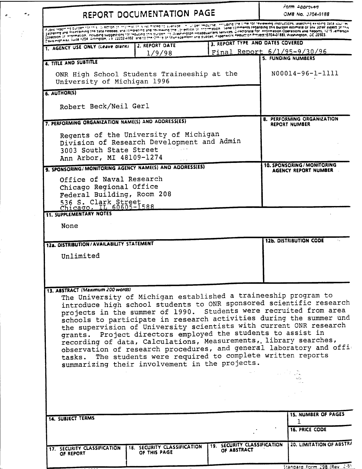| REPORT DOCUMENTATION PAGE                                                                                                                                                                                                                                                                                                                                                                                                                                                                                                                                                                                                           |                |  |                                                          | Form Approved<br>OMB No. 3704-0188                        |  |
|-------------------------------------------------------------------------------------------------------------------------------------------------------------------------------------------------------------------------------------------------------------------------------------------------------------------------------------------------------------------------------------------------------------------------------------------------------------------------------------------------------------------------------------------------------------------------------------------------------------------------------------|----------------|--|----------------------------------------------------------|-----------------------------------------------------------|--|
| a joint reporting durable to rest to becomplete the state that the state of the state of the control of reviewing instructions, searching existing data sources<br>a join reporting an among the 1984 needed, and the entry and the control of the comments regarding this burden steaming ensuring easing also plumes. This is plume as in the aspect of this standard in the aspect of this sta<br>gatnering and mail variable in a select of the computation of the selection of the select of indicate for information Operation Operations and Reports. If It is reflected of the assett of the spect of the surgestions and R |                |  |                                                          |                                                           |  |
| 1. AGENCY USE ONLY (Leave blank)                                                                                                                                                                                                                                                                                                                                                                                                                                                                                                                                                                                                    | 2. REPORT DATE |  | 3. REPORT TYPE AND DATES COVERED                         |                                                           |  |
|                                                                                                                                                                                                                                                                                                                                                                                                                                                                                                                                                                                                                                     | 1/9/98         |  | Final Report 6/1/95-9/30/96<br><b>5. FUNDING NUMBERS</b> |                                                           |  |
| 4. TITLE AND SUBTITLE                                                                                                                                                                                                                                                                                                                                                                                                                                                                                                                                                                                                               |                |  |                                                          |                                                           |  |
| ONR High School Students Traineeship at the<br>University of Michigan 1996                                                                                                                                                                                                                                                                                                                                                                                                                                                                                                                                                          |                |  |                                                          | N00014-96-1-1111                                          |  |
| 6. AUTHOR(S)                                                                                                                                                                                                                                                                                                                                                                                                                                                                                                                                                                                                                        |                |  |                                                          |                                                           |  |
| Robert Beck/Neil Gerl                                                                                                                                                                                                                                                                                                                                                                                                                                                                                                                                                                                                               |                |  |                                                          |                                                           |  |
| 7. PERFORMING ORGANIZATION NAME(S) AND ADDRESS(ES)                                                                                                                                                                                                                                                                                                                                                                                                                                                                                                                                                                                  |                |  |                                                          | 8. PERFORMING ORGANIZATION<br><b>REPORT NUMBER</b>        |  |
| Regents of the University of Michigan<br>Division of Research Development and Admin<br>3003 South State Street<br>Ann Arbor, MI 48109-1274                                                                                                                                                                                                                                                                                                                                                                                                                                                                                          |                |  |                                                          |                                                           |  |
| 9. SPONSORING/MONITORING AGENCY NAME(S) AND ADDRESS(ES)                                                                                                                                                                                                                                                                                                                                                                                                                                                                                                                                                                             |                |  |                                                          | 10. SPONSORING / MONITORING<br>AGENCY REPORT NUMBER       |  |
| Office of Naval Research<br>Chicago Regional Office<br>Federal Building, Room 208<br>536 S. Clark Street<br>Chicago, IL 60605-1588                                                                                                                                                                                                                                                                                                                                                                                                                                                                                                  |                |  |                                                          |                                                           |  |
| <b>11. SUPPLEMENTARY NOTES</b>                                                                                                                                                                                                                                                                                                                                                                                                                                                                                                                                                                                                      |                |  |                                                          |                                                           |  |
| None                                                                                                                                                                                                                                                                                                                                                                                                                                                                                                                                                                                                                                |                |  |                                                          |                                                           |  |
|                                                                                                                                                                                                                                                                                                                                                                                                                                                                                                                                                                                                                                     |                |  |                                                          | <b>12b. DISTRIBUTION CODE</b>                             |  |
| 12a. DISTRIBUTION / AVAILABILITY STATEMENT                                                                                                                                                                                                                                                                                                                                                                                                                                                                                                                                                                                          |                |  |                                                          |                                                           |  |
| Unlimited                                                                                                                                                                                                                                                                                                                                                                                                                                                                                                                                                                                                                           |                |  |                                                          |                                                           |  |
|                                                                                                                                                                                                                                                                                                                                                                                                                                                                                                                                                                                                                                     |                |  |                                                          |                                                           |  |
|                                                                                                                                                                                                                                                                                                                                                                                                                                                                                                                                                                                                                                     |                |  |                                                          |                                                           |  |
| 13. ABSTRACT (Maximum 200 words)                                                                                                                                                                                                                                                                                                                                                                                                                                                                                                                                                                                                    |                |  |                                                          |                                                           |  |
| The University of Michigan established a traineeship program to<br>introduce high school students to ONR sponsored scientific research<br>projects in the summer of 1990. Students were recruited from area<br>schools to participate in research activities during the summer und<br>the supervision of University scientists with current ONR research                                                                                                                                                                                                                                                                            |                |  |                                                          |                                                           |  |
| grants. Project directors employed the students to assist in<br>recording of data, Calculations, Measurements, library searches,<br>observation of research procedures, and general laboratory and offi-<br>tasks. The students were required to complete written reports<br>summarizing their involvement in the projects.                                                                                                                                                                                                                                                                                                         |                |  |                                                          |                                                           |  |
|                                                                                                                                                                                                                                                                                                                                                                                                                                                                                                                                                                                                                                     |                |  |                                                          |                                                           |  |
|                                                                                                                                                                                                                                                                                                                                                                                                                                                                                                                                                                                                                                     |                |  |                                                          |                                                           |  |
| <b>14. SUBJECT TERMS</b>                                                                                                                                                                                                                                                                                                                                                                                                                                                                                                                                                                                                            |                |  |                                                          |                                                           |  |
|                                                                                                                                                                                                                                                                                                                                                                                                                                                                                                                                                                                                                                     |                |  |                                                          | <b>15. NUMBER OF PAGES</b><br>1.<br><b>16. PRICE CODE</b> |  |

 $\sigma_{\rm in}$  .

J

Stangard Form 298 (Rev. 2-85